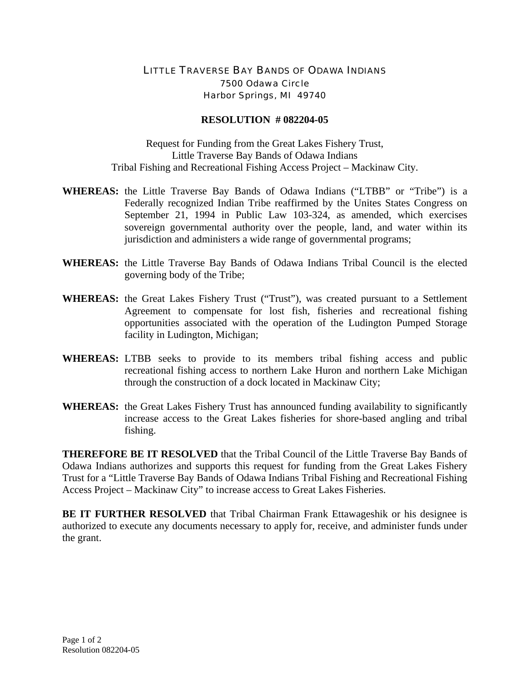## LITTLE TRAVERSE BAY BANDS OF ODAWA INDIANS 7500 Odawa Circle Harbor Springs, MI 49740

## **RESOLUTION # 082204-05**

Request for Funding from the Great Lakes Fishery Trust, Little Traverse Bay Bands of Odawa Indians Tribal Fishing and Recreational Fishing Access Project – Mackinaw City.

- **WHEREAS:** the Little Traverse Bay Bands of Odawa Indians ("LTBB" or "Tribe") is a Federally recognized Indian Tribe reaffirmed by the Unites States Congress on September 21, 1994 in Public Law 103-324, as amended, which exercises sovereign governmental authority over the people, land, and water within its jurisdiction and administers a wide range of governmental programs;
- **WHEREAS:** the Little Traverse Bay Bands of Odawa Indians Tribal Council is the elected governing body of the Tribe;
- **WHEREAS:** the Great Lakes Fishery Trust ("Trust"), was created pursuant to a Settlement Agreement to compensate for lost fish, fisheries and recreational fishing opportunities associated with the operation of the Ludington Pumped Storage facility in Ludington, Michigan;
- **WHEREAS:** LTBB seeks to provide to its members tribal fishing access and public recreational fishing access to northern Lake Huron and northern Lake Michigan through the construction of a dock located in Mackinaw City;
- **WHEREAS:** the Great Lakes Fishery Trust has announced funding availability to significantly increase access to the Great Lakes fisheries for shore-based angling and tribal fishing.

**THEREFORE BE IT RESOLVED** that the Tribal Council of the Little Traverse Bay Bands of Odawa Indians authorizes and supports this request for funding from the Great Lakes Fishery Trust for a "Little Traverse Bay Bands of Odawa Indians Tribal Fishing and Recreational Fishing Access Project – Mackinaw City" to increase access to Great Lakes Fisheries.

**BE IT FURTHER RESOLVED** that Tribal Chairman Frank Ettawageshik or his designee is authorized to execute any documents necessary to apply for, receive, and administer funds under the grant.